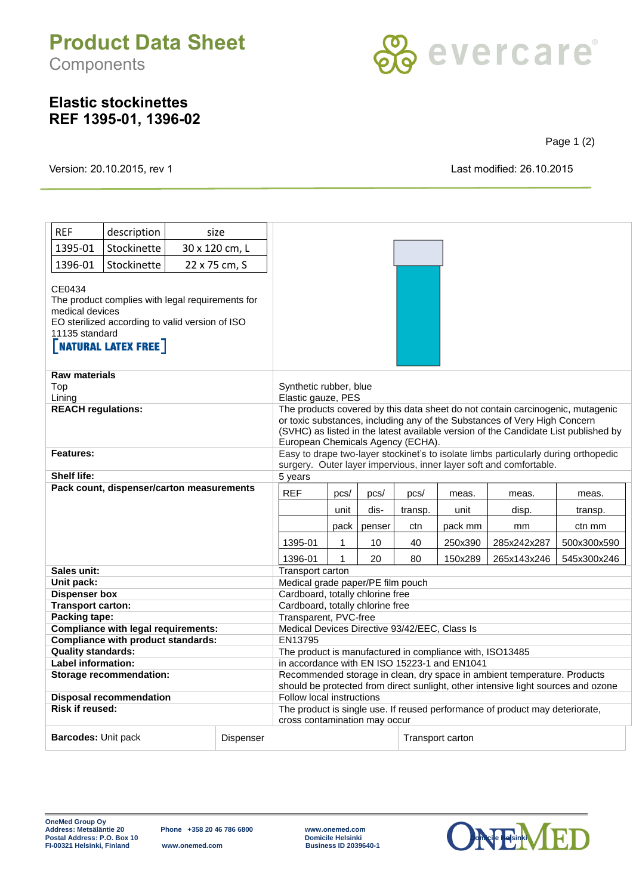## **Product Data Sheet Components**



## **Elastic stockinettes REF 1395-01, 1396-02**

Page 1 (2)

Version: 20.10.2015, rev 1 Last modified: 26.10.2015

| <b>REF</b>                                                                                                                                                                      | description                      |  | size                                           |                                                                                                                                                                                                                                                                                         |        |      |         |                  |             |         |  |
|---------------------------------------------------------------------------------------------------------------------------------------------------------------------------------|----------------------------------|--|------------------------------------------------|-----------------------------------------------------------------------------------------------------------------------------------------------------------------------------------------------------------------------------------------------------------------------------------------|--------|------|---------|------------------|-------------|---------|--|
| 1395-01                                                                                                                                                                         | Stockinette                      |  | 30 x 120 cm, L                                 |                                                                                                                                                                                                                                                                                         |        |      |         |                  |             |         |  |
| 1396-01                                                                                                                                                                         | Stockinette                      |  | 22 x 75 cm, S                                  |                                                                                                                                                                                                                                                                                         |        |      |         |                  |             |         |  |
| CE0434<br>The product complies with legal requirements for<br>medical devices<br>EO sterilized according to valid version of ISO<br>11135 standard<br><b>NATURAL LATEX FREE</b> |                                  |  |                                                |                                                                                                                                                                                                                                                                                         |        |      |         |                  |             |         |  |
| <b>Raw materials</b><br>Top<br>Lining                                                                                                                                           |                                  |  |                                                | Synthetic rubber, blue<br>Elastic gauze, PES                                                                                                                                                                                                                                            |        |      |         |                  |             |         |  |
| <b>REACH regulations:</b>                                                                                                                                                       |                                  |  |                                                | The products covered by this data sheet do not contain carcinogenic, mutagenic<br>or toxic substances, including any of the Substances of Very High Concern<br>(SVHC) as listed in the latest available version of the Candidate List published by<br>European Chemicals Agency (ECHA). |        |      |         |                  |             |         |  |
| Features:                                                                                                                                                                       |                                  |  |                                                | Easy to drape two-layer stockinet's to isolate limbs particularly during orthopedic<br>surgery. Outer layer impervious, inner layer soft and comfortable.                                                                                                                               |        |      |         |                  |             |         |  |
| <b>Shelf life:</b>                                                                                                                                                              |                                  |  |                                                | 5 years                                                                                                                                                                                                                                                                                 |        |      |         |                  |             |         |  |
| Pack count, dispenser/carton measurements                                                                                                                                       |                                  |  |                                                | <b>REF</b>                                                                                                                                                                                                                                                                              | pcs/   | pcs/ | pcs/    | meas.            | meas.       | meas.   |  |
|                                                                                                                                                                                 |                                  |  |                                                |                                                                                                                                                                                                                                                                                         | unit   | dis- | transp. | unit             | disp.       | transp. |  |
|                                                                                                                                                                                 |                                  |  |                                                | pack                                                                                                                                                                                                                                                                                    | penser | ctn  | pack mm | mm               | ctn mm      |         |  |
|                                                                                                                                                                                 |                                  |  | 1395-01                                        | 1                                                                                                                                                                                                                                                                                       | 10     | 40   | 250x390 | 285x242x287      | 500x300x590 |         |  |
|                                                                                                                                                                                 |                                  |  | 1396-01                                        | $\mathbf{1}$                                                                                                                                                                                                                                                                            | 20     | 80   | 150x289 |                  |             |         |  |
| Sales unit:                                                                                                                                                                     |                                  |  | 265x143x246<br>545x300x246<br>Transport carton |                                                                                                                                                                                                                                                                                         |        |      |         |                  |             |         |  |
| Unit pack:                                                                                                                                                                      |                                  |  |                                                | Medical grade paper/PE film pouch                                                                                                                                                                                                                                                       |        |      |         |                  |             |         |  |
| <b>Dispenser box</b>                                                                                                                                                            |                                  |  |                                                | Cardboard, totally chlorine free                                                                                                                                                                                                                                                        |        |      |         |                  |             |         |  |
| <b>Transport carton:</b>                                                                                                                                                        |                                  |  |                                                | Cardboard, totally chlorine free                                                                                                                                                                                                                                                        |        |      |         |                  |             |         |  |
| Packing tape:                                                                                                                                                                   |                                  |  |                                                | Transparent, PVC-free                                                                                                                                                                                                                                                                   |        |      |         |                  |             |         |  |
| <b>Compliance with legal requirements:</b>                                                                                                                                      |                                  |  |                                                | Medical Devices Directive 93/42/EEC, Class Is                                                                                                                                                                                                                                           |        |      |         |                  |             |         |  |
| <b>Compliance with product standards:</b>                                                                                                                                       |                                  |  |                                                | EN13795                                                                                                                                                                                                                                                                                 |        |      |         |                  |             |         |  |
| <b>Quality standards:</b>                                                                                                                                                       |                                  |  |                                                | The product is manufactured in compliance with, ISO13485                                                                                                                                                                                                                                |        |      |         |                  |             |         |  |
| Label information:                                                                                                                                                              |                                  |  |                                                | in accordance with EN ISO 15223-1 and EN1041                                                                                                                                                                                                                                            |        |      |         |                  |             |         |  |
| <b>Storage recommendation:</b>                                                                                                                                                  |                                  |  |                                                | Recommended storage in clean, dry space in ambient temperature. Products<br>should be protected from direct sunlight, other intensive light sources and ozone                                                                                                                           |        |      |         |                  |             |         |  |
| <b>Disposal recommendation</b><br><b>Risk if reused:</b>                                                                                                                        |                                  |  |                                                | Follow local instructions                                                                                                                                                                                                                                                               |        |      |         |                  |             |         |  |
|                                                                                                                                                                                 |                                  |  |                                                | The product is single use. If reused performance of product may deteriorate,<br>cross contamination may occur                                                                                                                                                                           |        |      |         |                  |             |         |  |
|                                                                                                                                                                                 | Barcodes: Unit pack<br>Dispenser |  |                                                |                                                                                                                                                                                                                                                                                         |        |      |         | Transport carton |             |         |  |

Phone +358 20 46 786 6800 www.onemed.com<br>Domicile Helsinki<br>Www.onemed.com Business ID 2039640-1 Postal Address: P.O. Box 10 **Domicile Helsinki Domicile Helsinki Domicile Helsinki Democile Helsinki Business ID 2039640-1**